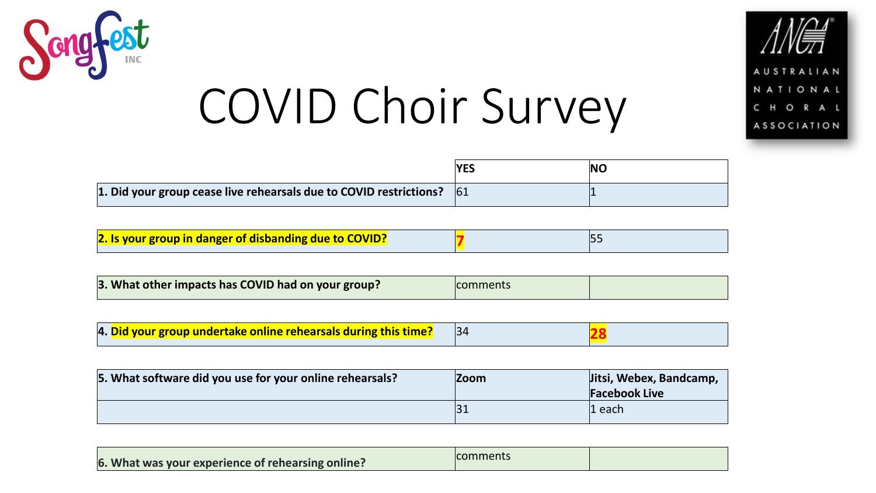



|                                                                               | VCC | NC |
|-------------------------------------------------------------------------------|-----|----|
| 1. Did your group cease live rehearsals due to COVID restrictions? $\vert$ 61 |     |    |

| 2. Is your group in danger of disbanding due to COVID? |  |
|--------------------------------------------------------|--|
|--------------------------------------------------------|--|

| 3. What other impacts has COVID had on your group?<br>comments |  |
|----------------------------------------------------------------|--|
|----------------------------------------------------------------|--|

| 4. Did your group undertake online rehearsals during this time? |  |  |  |
|-----------------------------------------------------------------|--|--|--|
|-----------------------------------------------------------------|--|--|--|

| 5. What software did you use for your online rehearsals? | <b>Zoom</b> | Jitsi, Webex, Bandcamp,<br><b>Facebook Live</b> |
|----------------------------------------------------------|-------------|-------------------------------------------------|
|                                                          |             | $\mathbf{1}$ each                               |

| 6. What was your experience of rehearsing online? | comments |  |
|---------------------------------------------------|----------|--|
|---------------------------------------------------|----------|--|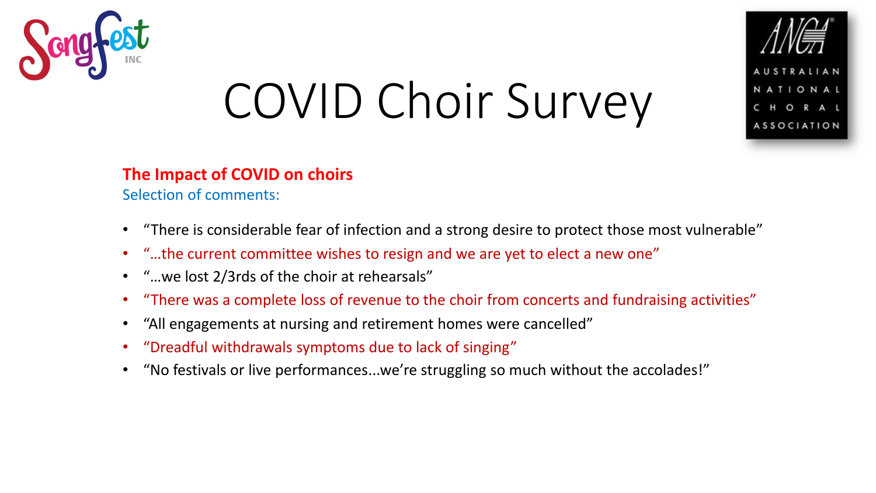



#### **The Impact of COVID on choirs**

Selection of comments:

- "There is considerable fear of infection and a strong desire to protect those most vulnerable"
- "…the current committee wishes to resign and we are yet to elect a new one"
- "…we lost 2/3rds of the choir at rehearsals"
- "There was a complete loss of revenue to the choir from concerts and fundraising activities"
- "All engagements at nursing and retirement homes were cancelled"
- "Dreadful withdrawals symptoms due to lack of singing"
- "No festivals or live performances...we're struggling so much without the accolades!"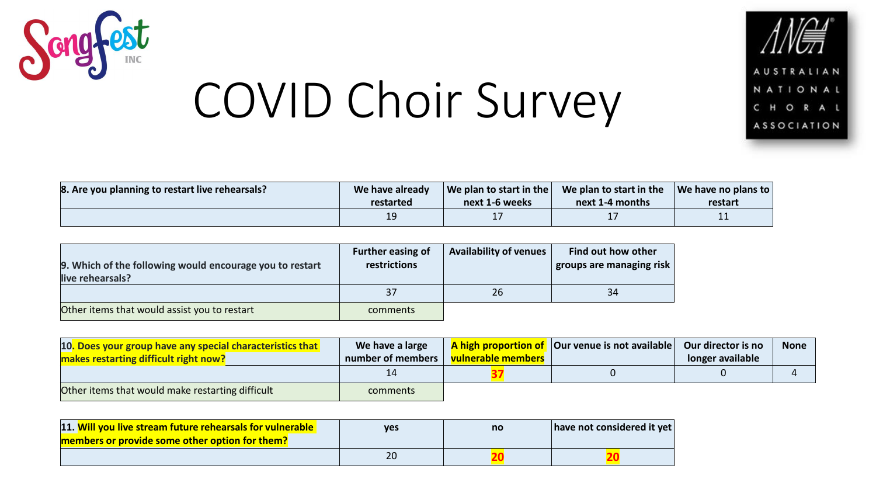



| 8. Are you planning to restart live rehearsals? | We have already | $\vert$ We plan to start in the $\vert$ | We plan to start in the | $\sqrt{ }$ We have no plans to |
|-------------------------------------------------|-----------------|-----------------------------------------|-------------------------|--------------------------------|
|                                                 | restarted       | next 1-6 weeks                          | next 1-4 months         | restart                        |
|                                                 |                 |                                         |                         | 11                             |

| 9. Which of the following would encourage you to restart<br>live rehearsals? | Further easing of<br>restrictions | <b>Availability of venues</b> | Find out how other<br>groups are managing risk |
|------------------------------------------------------------------------------|-----------------------------------|-------------------------------|------------------------------------------------|
|                                                                              | 37                                | 26                            | 34                                             |
| Other items that would assist you to restart                                 | comments                          |                               |                                                |

| 10. Does your group have any special characteristics that | We have a large   |                           | A high proportion of   Our venue is not available | Our director is no | <b>None</b> |
|-----------------------------------------------------------|-------------------|---------------------------|---------------------------------------------------|--------------------|-------------|
| makes restarting difficult right now?                     | number of members | <b>vulnerable members</b> |                                                   | longer available   |             |
|                                                           |                   |                           |                                                   |                    |             |
| Other items that would make restarting difficult          | comments          |                           |                                                   |                    |             |

| 11. Will you live stream future rehearsals for vulnerable<br>members or provide some other option for them? | ves | no | have not considered it yet |
|-------------------------------------------------------------------------------------------------------------|-----|----|----------------------------|
|                                                                                                             |     |    |                            |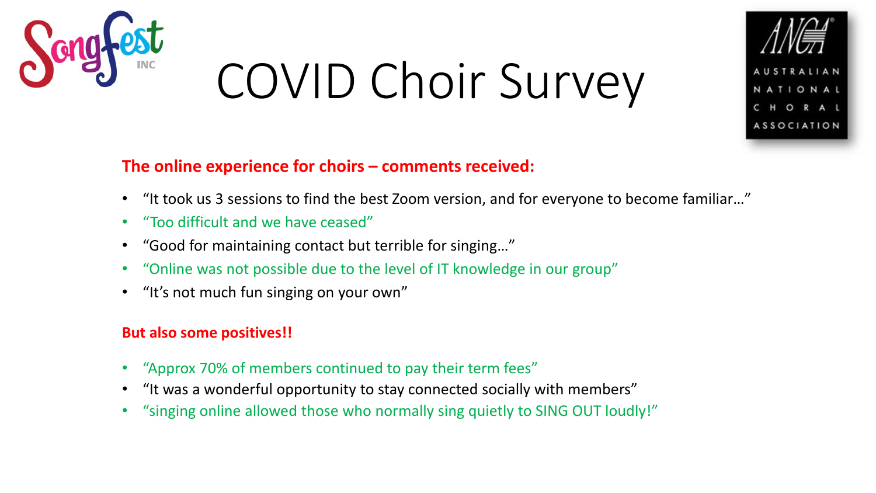



#### **The online experience for choirs – comments received:**

- "It took us 3 sessions to find the best Zoom version, and for everyone to become familiar…"
- "Too difficult and we have ceased"
- "Good for maintaining contact but terrible for singing…"
- "Online was not possible due to the level of IT knowledge in our group"
- "It's not much fun singing on your own"

#### **But also some positives!!**

- "Approx 70% of members continued to pay their term fees"
- "It was a wonderful opportunity to stay connected socially with members"
- "singing online allowed those who normally sing quietly to SING OUT loudly!"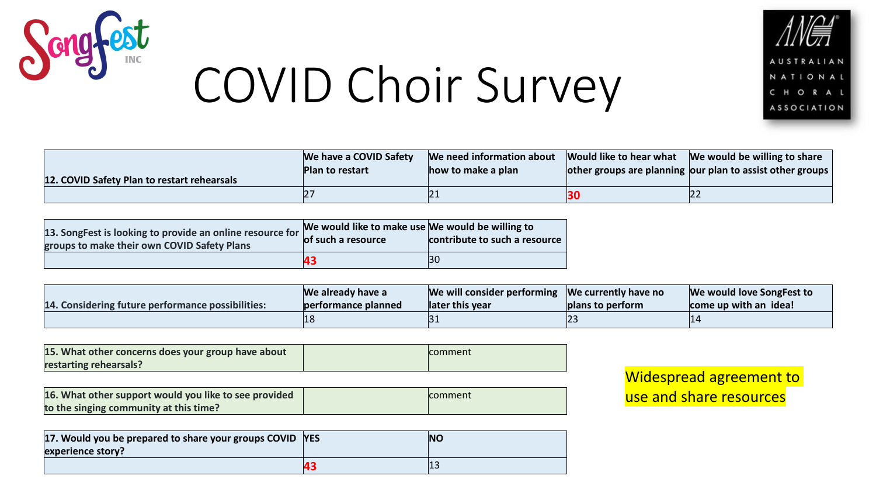



| 12. COVID Safety Plan to restart rehearsals | We have a COVID Safety<br>Plan to restart | We need information about<br>how to make a plan | Would like to hear what | We would be willing to share<br>$\vert$ other groups are planning our plan to assist other groups $\vert$ |
|---------------------------------------------|-------------------------------------------|-------------------------------------------------|-------------------------|-----------------------------------------------------------------------------------------------------------|
|                                             |                                           | ΙZ.                                             | 30                      | 22                                                                                                        |

| 13. SongFest is looking to provide an online resource for<br>groups to make their own COVID Safety Plans | We would like to make use We would be willing to<br>of such a resource | contribute to such a resource |
|----------------------------------------------------------------------------------------------------------|------------------------------------------------------------------------|-------------------------------|
|                                                                                                          | 43                                                                     | BС                            |

| 14. Considering future performance possibilities: | We already have a<br>performance planned | We will consider performing $\sqrt{ }$ We currently have no<br>later this year | plans to perform | We would love SongFest to<br>come up with an idea! |
|---------------------------------------------------|------------------------------------------|--------------------------------------------------------------------------------|------------------|----------------------------------------------------|
|                                                   |                                          |                                                                                |                  | 14                                                 |

| 15. What other concerns does your group have about | <b>comment</b> |
|----------------------------------------------------|----------------|
| restarting rehearsals?                             |                |

| 16. What other support would you like to see provided | comment |
|-------------------------------------------------------|---------|
| to the singing community at this time?                |         |

| 17. Would you be prepared to share your groups COVID YES<br>experience story? |    | <b>NC</b> |
|-------------------------------------------------------------------------------|----|-----------|
|                                                                               | 4: |           |

Widespread agreement to use and share resources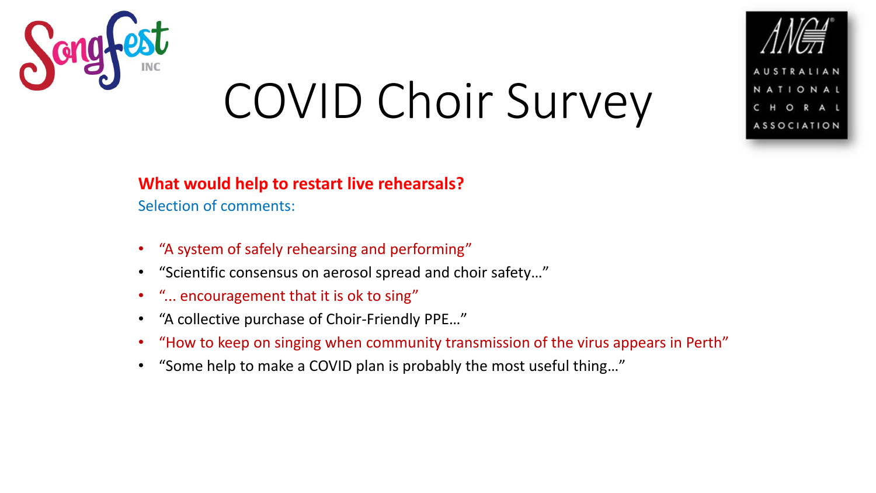

### **What would help to restart live rehearsals?**

Selection of comments:

- "A system of safely rehearsing and performing"
- "Scientific consensus on aerosol spread and choir safety…"
- "... encouragement that it is ok to sing"
- "A collective purchase of Choir-Friendly PPE…"
- "How to keep on singing when community transmission of the virus appears in Perth"
- "Some help to make a COVID plan is probably the most useful thing…"